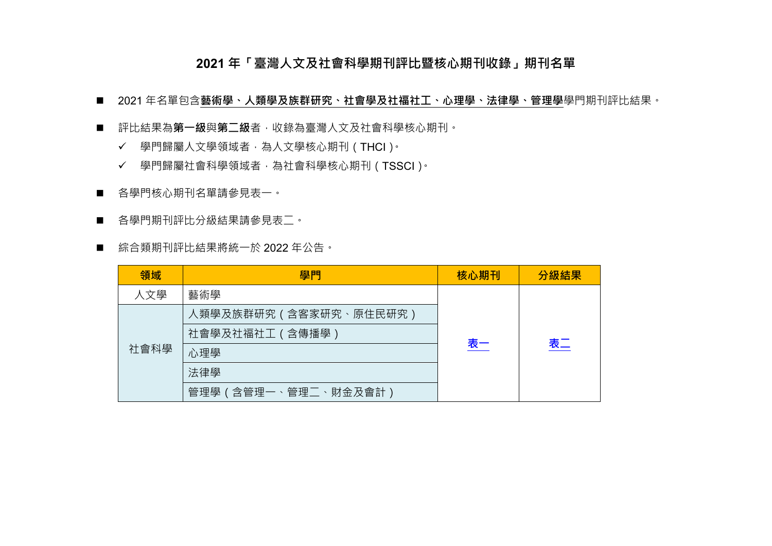### **2021 年「臺灣人文及社會科學期刊評比暨核心期刊收錄」期刊名單**

- 2021年名單包含藝術學、人類學及族群研究、社會學及社福社工、心理學、法律學、管理學學門期刊評比結果。
- 評比結果為**第一級**與第二級者,收錄為臺灣人文及社會科學核心期刊。
	- ✔ 學門歸屬人文學領域者,為人文學核心期刊(THCI)。
	- 學門歸屬社會科學領域者,為社會科學核心期刊(TSSCI)。
- 各學門核心期刊名單請參見表一。
- 各學門期刊評比分級結果請參見表二。
- 綜合類期刊評比結果將統一於 2022 年公告。

| 領域   | 學門                     | 核心期刊      | 分級結果 |
|------|------------------------|-----------|------|
| 人文學  | 藝術學                    |           |      |
| 社會科學 | 人類學及族群研究 (含客家研究、原住民研究) |           |      |
|      | 社會學及社福社工 (含傳播學)        |           |      |
|      | 心理學                    | <u>表一</u> | 表二   |
|      | 法律學                    |           |      |
|      | 管理學 (含管理一、管理二、財金及會計)   |           |      |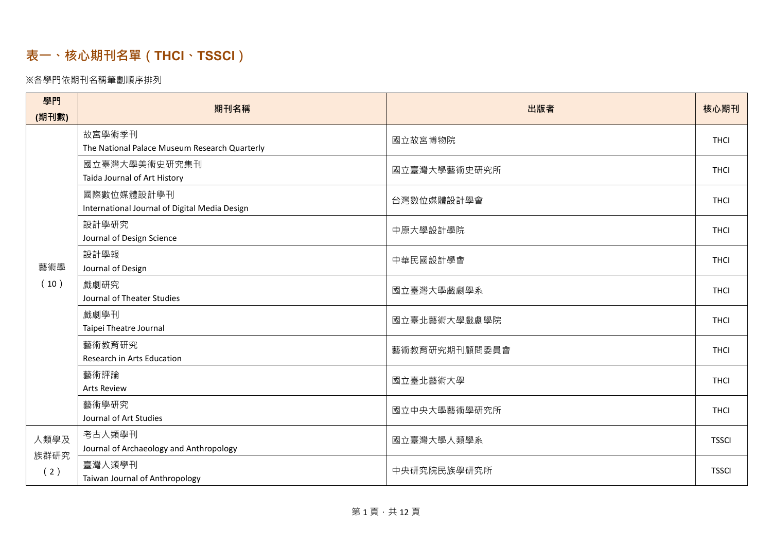# <span id="page-1-0"></span>**表一、核心期刊名單(THCI 、TSSCI )**

### ※各學門依期刊名稱筆劃順序排列

| 學門          | 期刊名稱                                                        | 出版者           | 核心期刊         |
|-------------|-------------------------------------------------------------|---------------|--------------|
| (期刊數)       |                                                             |               |              |
|             | 故宮學術季刊<br>The National Palace Museum Research Quarterly     | 國立故宮博物院       | <b>THCI</b>  |
|             | 國立臺灣大學美術史研究集刊<br>Taida Journal of Art History               | 國立臺灣大學藝術史研究所  | <b>THCI</b>  |
|             | 國際數位媒體設計學刊<br>International Journal of Digital Media Design | 台灣數位媒體設計學會    | <b>THCI</b>  |
|             | 設計學研究<br>Journal of Design Science                          | 中原大學設計學院      | <b>THCI</b>  |
| 藝術學         | 設計學報<br>Journal of Design                                   | 中華民國設計學會      | <b>THCI</b>  |
| (10)        | 戲劇研究<br>Journal of Theater Studies                          | 國立臺灣大學戲劇學系    | <b>THCI</b>  |
|             | 戲劇學刊<br>Taipei Theatre Journal                              | 國立臺北藝術大學戲劇學院  | <b>THCI</b>  |
|             | 藝術教育研究<br>Research in Arts Education                        | 藝術教育研究期刊顧問委員會 | <b>THCI</b>  |
| 人類學及        | 藝術評論<br><b>Arts Review</b>                                  | 國立臺北藝術大學      | <b>THCI</b>  |
|             | 藝術學研究<br>Journal of Art Studies                             | 國立中央大學藝術學研究所  | <b>THCI</b>  |
|             | 考古人類學刊<br>Journal of Archaeology and Anthropology           | 國立臺灣大學人類學系    | <b>TSSCI</b> |
| 族群研究<br>(2) | 臺灣人類學刊<br>Taiwan Journal of Anthropology                    | 中央研究院民族學研究所   | <b>TSSCI</b> |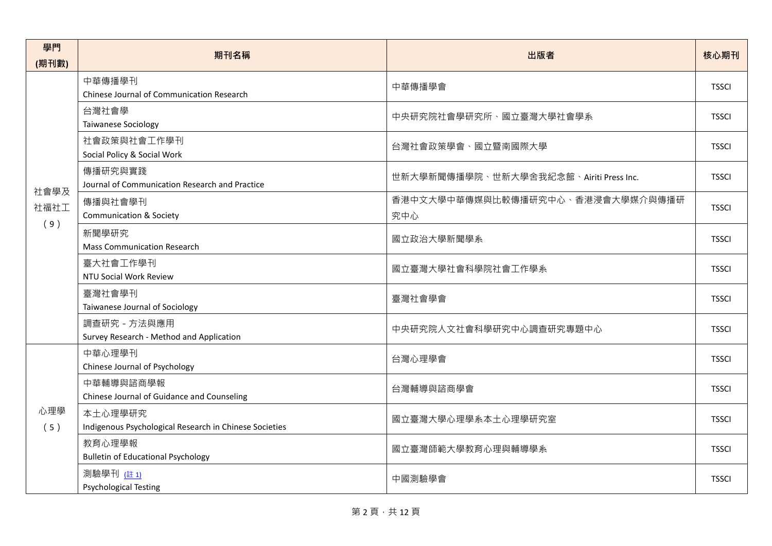| 學門         | 期刊名稱                                                              | 出版者                                     | 核心期刊         |
|------------|-------------------------------------------------------------------|-----------------------------------------|--------------|
| (期刊數)      |                                                                   |                                         |              |
|            | 中華傳播學刊<br>Chinese Journal of Communication Research               | 中華傳播學會                                  | <b>TSSCI</b> |
|            | 台灣社會學<br><b>Taiwanese Sociology</b>                               | 中央研究院社會學研究所、國立臺灣大學社會學系                  | <b>TSSCI</b> |
|            | 社會政策與社會工作學刊<br>Social Policy & Social Work                        | 台灣社會政策學會、國立暨南國際大學                       | <b>TSSCI</b> |
| 社會學及       | 傳播研究與實踐<br>Journal of Communication Research and Practice         | 世新大學新聞傳播學院、世新大學舍我紀念館、Airiti Press Inc.  | <b>TSSCI</b> |
| 社福社工       | 傳播與社會學刊<br><b>Communication &amp; Society</b>                     | 香港中文大學中華傳媒與比較傳播研究中心、香港浸會大學媒介與傳播研<br>究中心 | <b>TSSCI</b> |
| (9)        | 新聞學研究<br><b>Mass Communication Research</b>                       | 國立政治大學新聞學系                              | <b>TSSCI</b> |
|            | 臺大社會工作學刊<br>NTU Social Work Review                                | 國立臺灣大學社會科學院社會工作學系                       | <b>TSSCI</b> |
|            | 臺灣社會學刊<br>Taiwanese Journal of Sociology                          | 臺灣社會學會                                  | <b>TSSCI</b> |
|            | 調查研究 - 方法與應用<br>Survey Research - Method and Application          | 中央研究院人文社會科學研究中心調查研究專題中心                 | <b>TSSCI</b> |
|            | 中華心理學刊<br>Chinese Journal of Psychology                           | 台灣心理學會                                  | <b>TSSCI</b> |
|            | 中華輔導與諮商學報<br>Chinese Journal of Guidance and Counseling           | 台灣輔導與諮商學會                               | <b>TSSCI</b> |
| 心理學<br>(5) | 本土心理學研究<br>Indigenous Psychological Research in Chinese Societies | 國立臺灣大學心理學系本土心理學研究室                      | <b>TSSCI</b> |
|            | 教育心理學報<br><b>Bulletin of Educational Psychology</b>               | 國立臺灣師範大學教育心理與輔導學系                       | <b>TSSCI</b> |
|            | 測驗學刊 (註 1)<br><b>Psychological Testing</b>                        | 中國測驗學會                                  | <b>TSSCI</b> |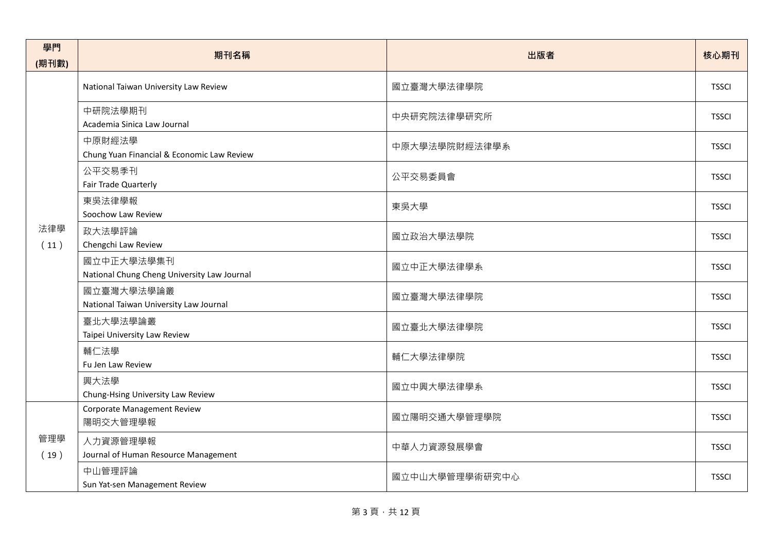| 學門<br>(期刊數) | 期刊名稱                                                      | 出版者            | 核心期刊         |
|-------------|-----------------------------------------------------------|----------------|--------------|
|             | National Taiwan University Law Review                     | 國立臺灣大學法律學院     | <b>TSSCI</b> |
|             | 中研院法學期刊<br>Academia Sinica Law Journal                    | 中央研究院法律學研究所    | <b>TSSCI</b> |
|             | 中原財經法學<br>Chung Yuan Financial & Economic Law Review      | 中原大學法學院財經法律學系  | <b>TSSCI</b> |
|             | 公平交易季刊<br>Fair Trade Quarterly                            | 公平交易委員會        | <b>TSSCI</b> |
|             | 東吳法律學報<br>Soochow Law Review                              | 東吳大學           | <b>TSSCI</b> |
| 法律學<br>(11) | 政大法學評論<br>Chengchi Law Review                             | 國立政治大學法學院      | <b>TSSCI</b> |
|             | 國立中正大學法學集刊<br>National Chung Cheng University Law Journal | 國立中正大學法律學系     | <b>TSSCI</b> |
|             | 國立臺灣大學法學論叢<br>National Taiwan University Law Journal      | 國立臺灣大學法律學院     | <b>TSSCI</b> |
|             | 臺北大學法學論叢<br>Taipei University Law Review                  | 國立臺北大學法律學院     | <b>TSSCI</b> |
|             | 輔仁法學<br>Fu Jen Law Review                                 | 輔仁大學法律學院       | <b>TSSCI</b> |
|             | 興大法學<br>Chung-Hsing University Law Review                 | 國立中興大學法律學系     | <b>TSSCI</b> |
|             | <b>Corporate Management Review</b><br>陽明交大管理學報            | 國立陽明交通大學管理學院   | <b>TSSCI</b> |
| 管理學<br>(19) | 人力資源管理學報<br>Journal of Human Resource Management          | 中華人力資源發展學會     | <b>TSSCI</b> |
|             | 中山管理評論<br>Sun Yat-sen Management Review                   | 國立中山大學管理學術研究中心 | <b>TSSCI</b> |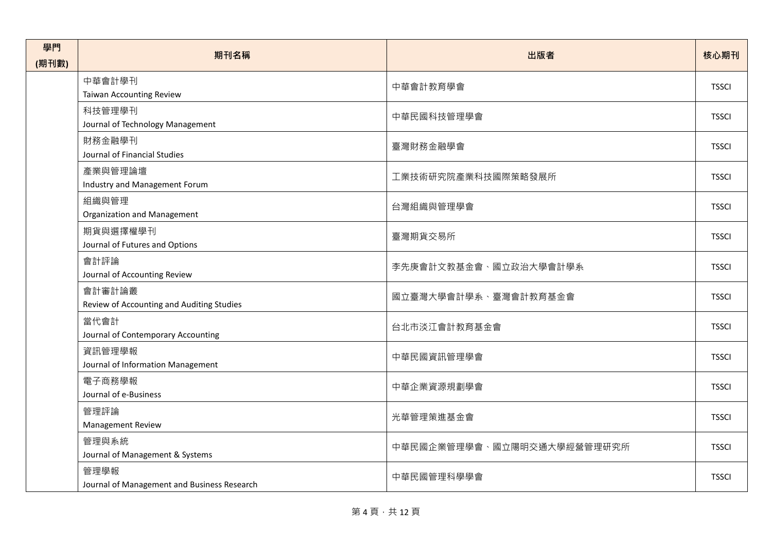| 學門<br>(期刊數) | 期刊名稱                                                | 出版者                        | 核心期刊         |
|-------------|-----------------------------------------------------|----------------------------|--------------|
|             | 中華會計學刊<br>Taiwan Accounting Review                  | 中華會計教育學會                   | <b>TSSCI</b> |
|             | 科技管理學刊<br>Journal of Technology Management          | 中華民國科技管理學會                 | <b>TSSCI</b> |
|             | 財務金融學刊<br>Journal of Financial Studies              | 臺灣財務金融學會                   | <b>TSSCI</b> |
|             | 產業與管理論壇<br>Industry and Management Forum            | 工業技術研究院產業科技國際策略發展所         | <b>TSSCI</b> |
|             | 組織與管理<br>Organization and Management                | 台灣組織與管理學會                  | <b>TSSCI</b> |
|             | 期貨與選擇權學刊<br>Journal of Futures and Options          | 臺灣期貨交易所                    | <b>TSSCI</b> |
|             | 會計評論<br>Journal of Accounting Review                | 李先庚會計文教基金會、國立政治大學會計學系      | <b>TSSCI</b> |
|             | 會計審計論叢<br>Review of Accounting and Auditing Studies | 國立臺灣大學會計學系、臺灣會計教育基金會       | <b>TSSCI</b> |
|             | 當代會計<br>Journal of Contemporary Accounting          | 台北市淡江會計教育基金會               | <b>TSSCI</b> |
|             | 資訊管理學報<br>Journal of Information Management         | 中華民國資訊管理學會                 | <b>TSSCI</b> |
|             | 電子商務學報<br>Journal of e-Business                     | 中華企業資源規劃學會                 | <b>TSSCI</b> |
|             | 管理評論<br>Management Review                           | 光華管理策進基金會                  | <b>TSSCI</b> |
|             | 管理與系統<br>Journal of Management & Systems            | 中華民國企業管理學會、國立陽明交通大學經營管理研究所 | <b>TSSCI</b> |
|             | 管理學報<br>Journal of Management and Business Research | 中華民國管理科學學會                 | <b>TSSCI</b> |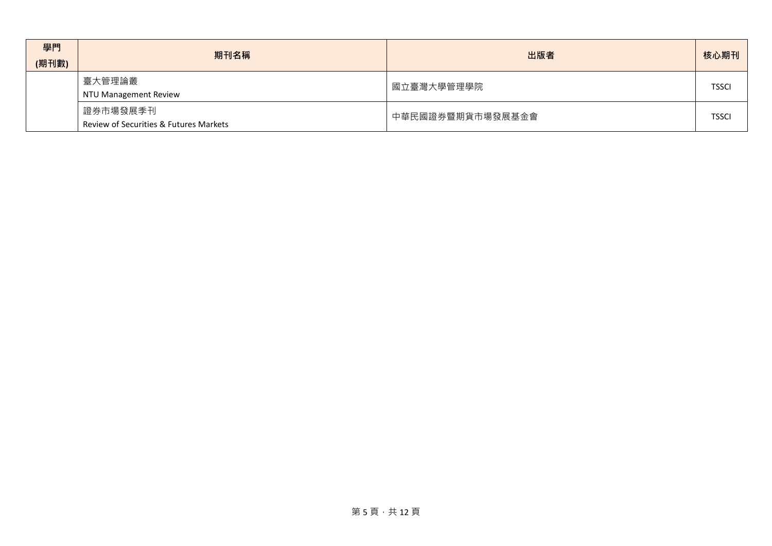| 學門<br>(期刊數) | 期刊名稱                                               | 出版者              | 核心期刊         |
|-------------|----------------------------------------------------|------------------|--------------|
|             | 臺大管理論叢<br><b>NTU Management Review</b>             | 國立臺灣大學管理學院       | <b>TSSCI</b> |
|             | 證券市場發展季刊<br>Review of Securities & Futures Markets | 中華民國證券暨期貨市場發展基金會 | <b>TSSCI</b> |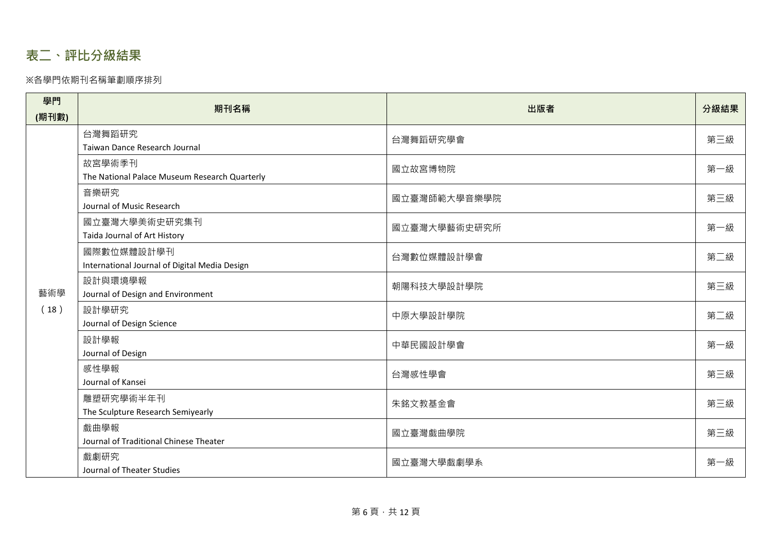# <span id="page-6-0"></span>**表二、評比分級結果**

#### ※各學門依期刊名稱筆劃順序排列

| 學門    | 期刊名稱                                                        | 出版者          | 分級結果 |
|-------|-------------------------------------------------------------|--------------|------|
| (期刊數) |                                                             |              |      |
|       | 台灣舞蹈研究<br>Taiwan Dance Research Journal                     | 台灣舞蹈研究學會     | 第三級  |
|       | 故宮學術季刊<br>The National Palace Museum Research Quarterly     | 國立故宮博物院      | 第一級  |
|       | 音樂研究<br>Journal of Music Research                           | 國立臺灣師範大學音樂學院 | 第三級  |
|       | 國立臺灣大學美術史研究集刊<br>Taida Journal of Art History               | 國立臺灣大學藝術史研究所 | 第一級  |
| 藝術學   | 國際數位媒體設計學刊<br>International Journal of Digital Media Design | 台灣數位媒體設計學會   | 第二級  |
|       | 設計與環境學報<br>Journal of Design and Environment                | 朝陽科技大學設計學院   | 第三級  |
| (18)  | 設計學研究<br>Journal of Design Science                          | 中原大學設計學院     | 第二級  |
|       | 設計學報<br>Journal of Design                                   | 中華民國設計學會     | 第一級  |
|       | 感性學報<br>Journal of Kansei                                   | 台灣感性學會       | 第三級  |
|       | 雕塑研究學術半年刊<br>The Sculpture Research Semiyearly              | 朱銘文教基金會      | 第三級  |
|       | 戲曲學報<br>Journal of Traditional Chinese Theater              | 國立臺灣戲曲學院     | 第三級  |
|       | 戲劇研究<br>Journal of Theater Studies                          | 國立臺灣大學戲劇學系   | 第一級  |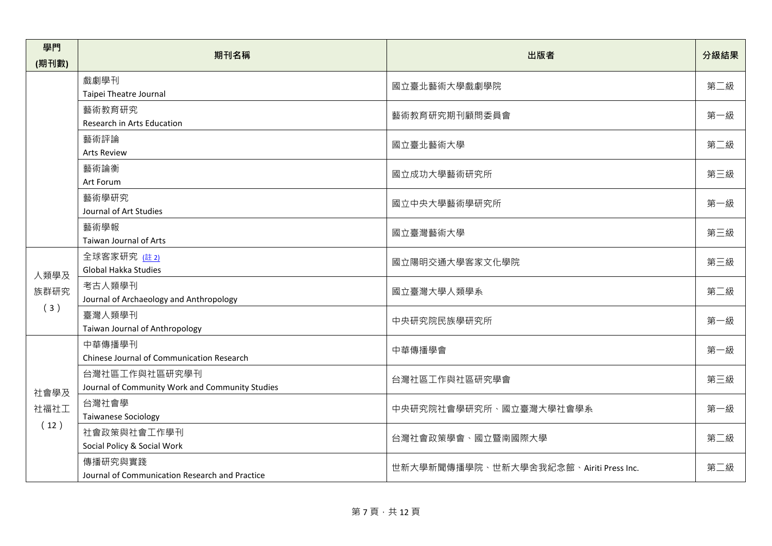| 學門                   | 期刊名稱                                                             | 出版者                                    | 分級結果 |
|----------------------|------------------------------------------------------------------|----------------------------------------|------|
| (期刊數)                |                                                                  |                                        |      |
|                      | 戲劇學刊<br>Taipei Theatre Journal                                   | 國立臺北藝術大學戲劇學院                           | 第二級  |
|                      | 藝術教育研究<br>Research in Arts Education                             | 藝術教育研究期刊顧問委員會                          | 第一級  |
|                      | 藝術評論<br><b>Arts Review</b>                                       | 國立臺北藝術大學                               | 第二級  |
|                      | 藝術論衡<br>Art Forum                                                | 國立成功大學藝術研究所                            | 第三級  |
|                      | 藝術學研究<br>Journal of Art Studies                                  | 國立中央大學藝術學研究所                           | 第一級  |
|                      | 藝術學報<br>Taiwan Journal of Arts                                   | 國立臺灣藝術大學                               | 第三級  |
| 人類學及                 | 全球客家研究 (註2)<br>Global Hakka Studies                              | 國立陽明交通大學客家文化學院                         | 第三級  |
| 族群研究                 | 考古人類學刊<br>Journal of Archaeology and Anthropology                | 國立臺灣大學人類學系                             | 第二級  |
| (3)                  | 臺灣人類學刊<br>Taiwan Journal of Anthropology                         | 中央研究院民族學研究所                            | 第一級  |
|                      | 中華傳播學刊<br>Chinese Journal of Communication Research              | 中華傳播學會                                 | 第一級  |
| 社會學及<br>社福社工<br>(12) | 台灣社區工作與社區研究學刊<br>Journal of Community Work and Community Studies | 台灣社區工作與社區研究學會                          | 第三級  |
|                      | 台灣社會學<br><b>Taiwanese Sociology</b>                              | 中央研究院社會學研究所、國立臺灣大學社會學系                 | 第一級  |
|                      | 社會政策與社會工作學刊<br>Social Policy & Social Work                       | 台灣社會政策學會、國立暨南國際大學                      | 第二級  |
|                      | 傳播研究與實踐<br>Journal of Communication Research and Practice        | 世新大學新聞傳播學院、世新大學舍我紀念館、Airiti Press Inc. | 第二級  |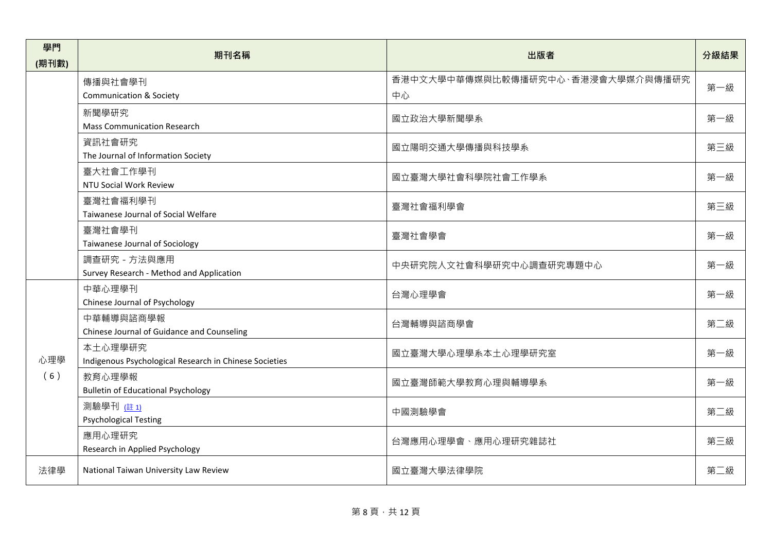| 學門<br>(期刊數) | 期刊名稱                                                              | 出版者                                     | 分級結果 |
|-------------|-------------------------------------------------------------------|-----------------------------------------|------|
|             | 傳播與社會學刊<br><b>Communication &amp; Society</b>                     | 香港中文大學中華傳媒與比較傳播研究中心、香港浸會大學媒介與傳播研究<br>中心 | 第一級  |
|             | 新聞學研究<br><b>Mass Communication Research</b>                       | 國立政治大學新聞學系                              | 第一級  |
|             | 資訊社會研究<br>The Journal of Information Society                      | 國立陽明交通大學傳播與科技學系                         | 第三級  |
|             | 臺大社會工作學刊<br>NTU Social Work Review                                | 國立臺灣大學社會科學院社會工作學系                       | 第一級  |
|             | 臺灣社會福利學刊<br>Taiwanese Journal of Social Welfare                   | 臺灣社會福利學會                                | 第三級  |
|             | 臺灣社會學刊<br>Taiwanese Journal of Sociology                          | 臺灣社會學會                                  | 第一級  |
|             | 調查研究 - 方法與應用<br>Survey Research - Method and Application          | 中央研究院人文社會科學研究中心調查研究專題中心                 | 第一級  |
|             | 中華心理學刊<br>Chinese Journal of Psychology                           | 台灣心理學會                                  | 第一級  |
|             | 中華輔導與諮商學報<br>Chinese Journal of Guidance and Counseling           | 台灣輔導與諮商學會                               | 第二級  |
| 心理學<br>(6)  | 本土心理學研究<br>Indigenous Psychological Research in Chinese Societies | 國立臺灣大學心理學系本土心理學研究室                      | 第一級  |
|             | 教育心理學報<br><b>Bulletin of Educational Psychology</b>               | 國立臺灣師範大學教育心理與輔導學系                       | 第一級  |
|             | 測驗學刊 (註 1)<br><b>Psychological Testing</b>                        | 中國測驗學會                                  | 第二級  |
|             | 應用心理研究<br>Research in Applied Psychology                          | 台灣應用心理學會、應用心理研究雜誌社                      | 第三級  |
| 法律學         | National Taiwan University Law Review                             | 國立臺灣大學法律學院                              | 第二級  |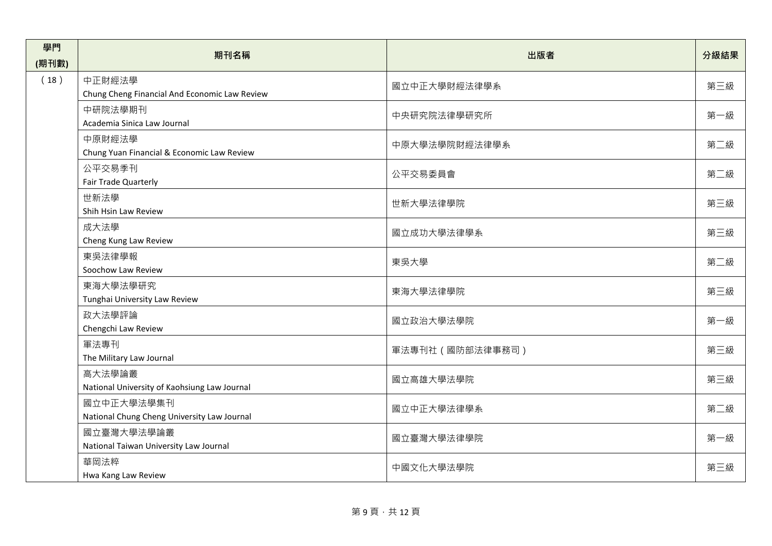| 學門    | 期刊名稱                                          | 出版者              | 分級結果 |
|-------|-----------------------------------------------|------------------|------|
| (期刊數) |                                               |                  |      |
| (18)  | 中正財經法學                                        | 國立中正大學財經法律學系     | 第三級  |
|       | Chung Cheng Financial And Economic Law Review |                  |      |
|       | 中研院法學期刊                                       | 中央研究院法律學研究所      | 第一級  |
|       | Academia Sinica Law Journal                   |                  |      |
|       | 中原財經法學                                        | 中原大學法學院財經法律學系    | 第二級  |
|       | Chung Yuan Financial & Economic Law Review    |                  |      |
|       | 公平交易季刊                                        | 公平交易委員會          | 第二級  |
|       | Fair Trade Quarterly                          |                  |      |
|       | 世新法學<br>Shih Hsin Law Review                  | 世新大學法律學院         | 第三級  |
|       | 成大法學                                          |                  |      |
|       | Cheng Kung Law Review                         | 國立成功大學法律學系       | 第三級  |
|       | 東吳法律學報                                        |                  |      |
|       | Soochow Law Review                            | 東吳大學             | 第二級  |
|       | 東海大學法學研究                                      |                  |      |
|       | Tunghai University Law Review                 | 東海大學法律學院         | 第三級  |
|       | 政大法學評論                                        | 國立政治大學法學院        |      |
|       | Chengchi Law Review                           |                  | 第一級  |
|       | 軍法專刊                                          | 軍法專刊社 (國防部法律事務司) | 第三級  |
|       | The Military Law Journal                      |                  |      |
|       | 高大法學論叢                                        | 國立高雄大學法學院        | 第三級  |
|       | National University of Kaohsiung Law Journal  |                  |      |
|       | 國立中正大學法學集刊                                    | 國立中正大學法律學系       | 第二級  |
|       | National Chung Cheng University Law Journal   |                  |      |
|       | 國立臺灣大學法學論叢                                    | 國立臺灣大學法律學院       | 第一級  |
|       | National Taiwan University Law Journal        |                  |      |
|       | 華岡法粹                                          | 中國文化大學法學院        | 第三級  |
|       | Hwa Kang Law Review                           |                  |      |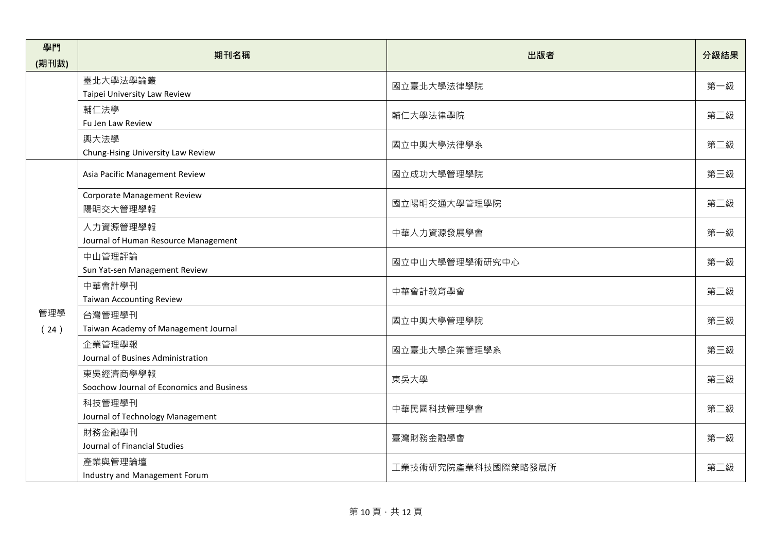| 學門    | 期刊名稱                                      | 出版者                | 分級結果 |
|-------|-------------------------------------------|--------------------|------|
| (期刊數) |                                           |                    |      |
|       | 臺北大學法學論叢                                  | 國立臺北大學法律學院         | 第一級  |
|       | Taipei University Law Review              |                    |      |
|       | 輔仁法學                                      | 輔仁大學法律學院           | 第二級  |
|       | Fu Jen Law Review                         |                    |      |
|       | 興大法學                                      | 國立中興大學法律學系         | 第二級  |
|       | Chung-Hsing University Law Review         |                    |      |
|       | Asia Pacific Management Review            | 國立成功大學管理學院         | 第三級  |
|       | <b>Corporate Management Review</b>        |                    |      |
|       | 陽明交大管理學報                                  | 國立陽明交通大學管理學院       | 第二級  |
|       | 人力資源管理學報                                  | 中華人力資源發展學會         | 第一級  |
|       | Journal of Human Resource Management      |                    |      |
|       | 中山管理評論                                    | 國立中山大學管理學術研究中心     | 第一級  |
|       | Sun Yat-sen Management Review             |                    |      |
|       | 中華會計學刊                                    | 中華會計教育學會           | 第二級  |
|       | <b>Taiwan Accounting Review</b>           |                    |      |
| 管理學   | 台灣管理學刊                                    | 國立中興大學管理學院         | 第三級  |
| (24)  | Taiwan Academy of Management Journal      |                    |      |
|       | 企業管理學報                                    | 國立臺北大學企業管理學系       | 第三級  |
|       | Journal of Busines Administration         |                    |      |
|       | 東吳經濟商學學報                                  | 東吳大學               | 第三級  |
|       | Soochow Journal of Economics and Business |                    |      |
|       | 科技管理學刊                                    | 中華民國科技管理學會         | 第二級  |
|       | Journal of Technology Management          |                    |      |
|       | 財務金融學刊                                    | 臺灣財務金融學會           | 第一級  |
|       | Journal of Financial Studies              |                    |      |
|       | 產業與管理論壇                                   | 工業技術研究院產業科技國際策略發展所 | 第二級  |
|       | Industry and Management Forum             |                    |      |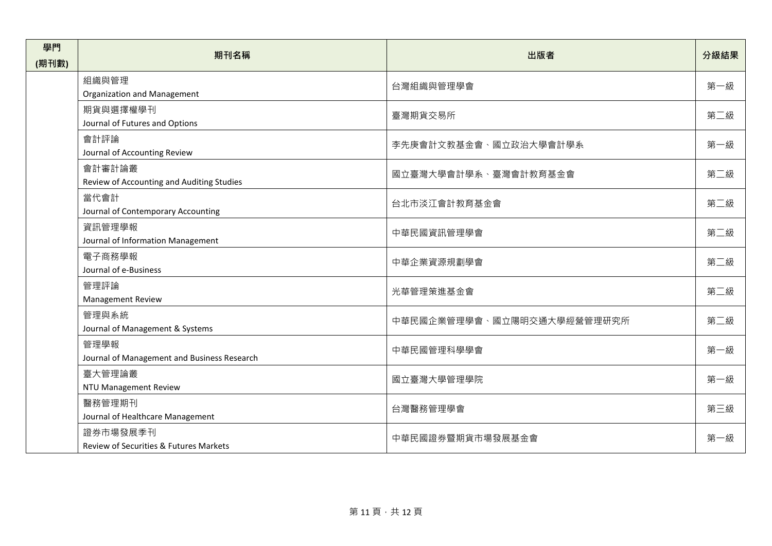| 學門    | 期刊名稱                                        | 出版者                        | 分級結果 |
|-------|---------------------------------------------|----------------------------|------|
| (期刊數) |                                             |                            |      |
|       | 組織與管理                                       | 台灣組織與管理學會                  | 第一級  |
|       | Organization and Management                 |                            |      |
|       | 期貨與選擇權學刊                                    | 臺灣期貨交易所                    | 第二級  |
|       | Journal of Futures and Options              |                            |      |
|       | 會計評論                                        | 李先庚會計文教基金會、國立政治大學會計學系      | 第一級  |
|       | Journal of Accounting Review                |                            |      |
|       | 會計審計論叢                                      | 國立臺灣大學會計學系、臺灣會計教育基金會       | 第二級  |
|       | Review of Accounting and Auditing Studies   |                            |      |
|       | 當代會計                                        | 台北市淡江會計教育基金會               | 第二級  |
|       | Journal of Contemporary Accounting          |                            |      |
|       | 資訊管理學報                                      | 中華民國資訊管理學會                 | 第二級  |
|       | Journal of Information Management           |                            |      |
|       | 電子商務學報                                      | 中華企業資源規劃學會                 | 第二級  |
|       | Journal of e-Business                       |                            |      |
|       | 管理評論                                        | 光華管理策進基金會                  | 第二級  |
|       | Management Review                           |                            |      |
|       | 管理與系統                                       | 中華民國企業管理學會、國立陽明交通大學經營管理研究所 | 第二級  |
|       | Journal of Management & Systems             |                            |      |
|       | 管理學報                                        | 中華民國管理科學學會                 | 第一級  |
|       | Journal of Management and Business Research |                            |      |
|       | 臺大管理論叢                                      | 國立臺灣大學管理學院                 | 第一級  |
|       | NTU Management Review                       |                            |      |
|       | 醫務管理期刊                                      | 台灣醫務管理學會                   | 第三級  |
|       | Journal of Healthcare Management            |                            |      |
|       | 證券市場發展季刊                                    |                            | 第一級  |
|       | Review of Securities & Futures Markets      | 中華民國證券暨期貨市場發展基金會           |      |